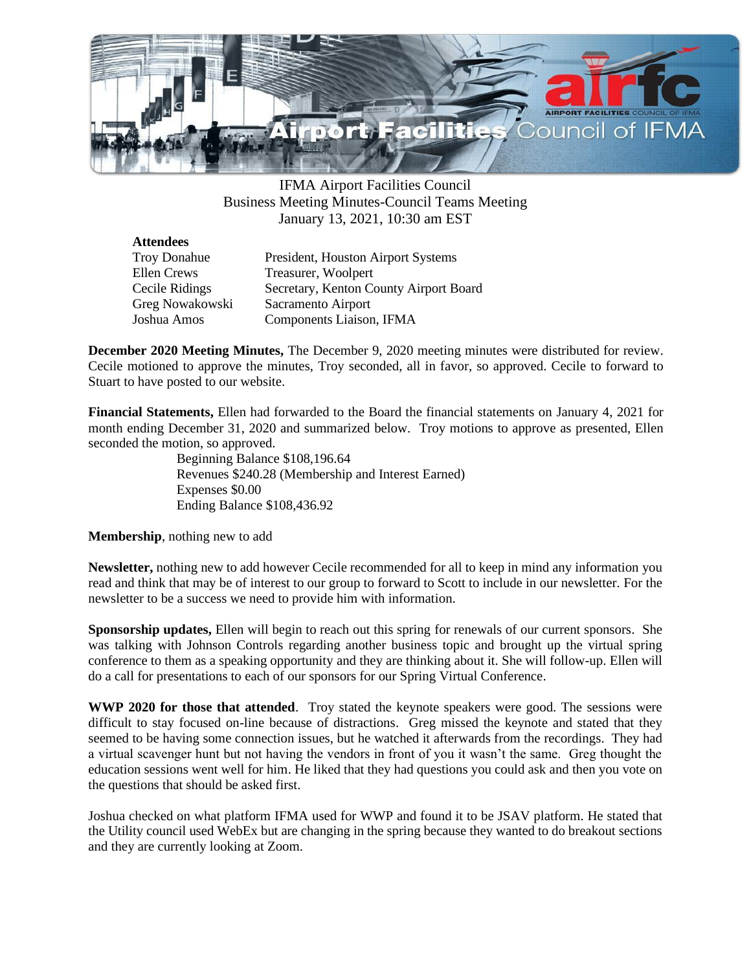

IFMA Airport Facilities Council Business Meeting Minutes-Council Teams Meeting January 13, 2021, 10:30 am EST

| <b>Attendees</b>    |                                        |
|---------------------|----------------------------------------|
| <b>Troy Donahue</b> | President, Houston Airport Systems     |
| <b>Ellen</b> Crews  | Treasurer, Woolpert                    |
| Cecile Ridings      | Secretary, Kenton County Airport Board |
| Greg Nowakowski     | Sacramento Airport                     |
| Joshua Amos         | Components Liaison, IFMA               |

**December 2020 Meeting Minutes,** The December 9, 2020 meeting minutes were distributed for review. Cecile motioned to approve the minutes, Troy seconded, all in favor, so approved. Cecile to forward to Stuart to have posted to our website.

**Financial Statements,** Ellen had forwarded to the Board the financial statements on January 4, 2021 for month ending December 31, 2020 and summarized below. Troy motions to approve as presented, Ellen seconded the motion, so approved.

Beginning Balance \$108,196.64 Revenues \$240.28 (Membership and Interest Earned) Expenses \$0.00 Ending Balance \$108,436.92

**Membership**, nothing new to add

**Newsletter,** nothing new to add however Cecile recommended for all to keep in mind any information you read and think that may be of interest to our group to forward to Scott to include in our newsletter. For the newsletter to be a success we need to provide him with information.

**Sponsorship updates,** Ellen will begin to reach out this spring for renewals of our current sponsors. She was talking with Johnson Controls regarding another business topic and brought up the virtual spring conference to them as a speaking opportunity and they are thinking about it. She will follow-up. Ellen will do a call for presentations to each of our sponsors for our Spring Virtual Conference.

**WWP 2020 for those that attended**. Troy stated the keynote speakers were good. The sessions were difficult to stay focused on-line because of distractions. Greg missed the keynote and stated that they seemed to be having some connection issues, but he watched it afterwards from the recordings. They had a virtual scavenger hunt but not having the vendors in front of you it wasn't the same. Greg thought the education sessions went well for him. He liked that they had questions you could ask and then you vote on the questions that should be asked first.

Joshua checked on what platform IFMA used for WWP and found it to be JSAV platform. He stated that the Utility council used WebEx but are changing in the spring because they wanted to do breakout sections and they are currently looking at Zoom.